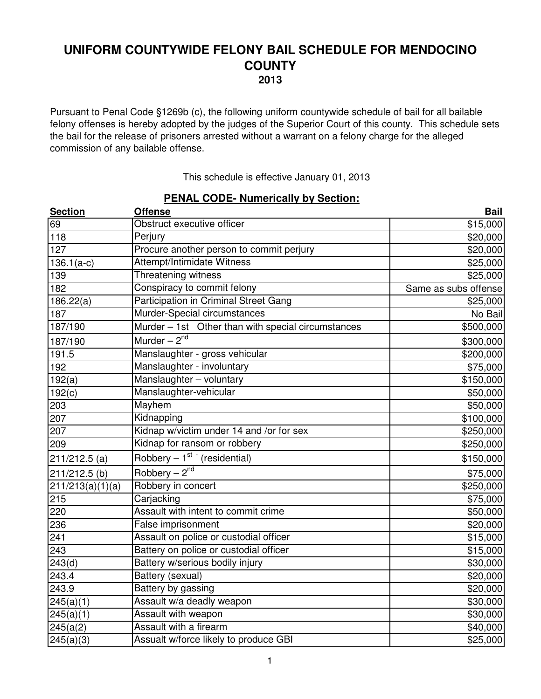Pursuant to Penal Code §1269b (c), the following uniform countywide schedule of bail for all bailable felony offenses is hereby adopted by the judges of the Superior Court of this county. This schedule sets the bail for the release of prisoners arrested without a warrant on a felony charge for the alleged commission of any bailable offense.

This schedule is effective January 01, 2013

| <b>Section</b>   | <b>PENAL CODE-NUMERICALLY BY SECTION:</b><br><b>Offense</b> | <b>Bail</b>          |
|------------------|-------------------------------------------------------------|----------------------|
| 69               | Obstruct executive officer                                  | \$15,000             |
| 118              | Perjury                                                     | \$20,000             |
| $\overline{127}$ | Procure another person to commit perjury                    | \$20,000             |
| $136.1(a-c)$     | Attempt/Intimidate Witness                                  | \$25,000             |
| 139              | <b>Threatening witness</b>                                  | \$25,000             |
| 182              | Conspiracy to commit felony                                 | Same as subs offense |
| 186.22(a)        | <b>Participation in Criminal Street Gang</b>                | \$25,000             |
| 187              | Murder-Special circumstances                                | No Bail              |
| 187/190          | Murder - 1st Other than with special circumstances          | \$500,000            |
| 187/190          | Murder $-\overline{2^{nd}}$                                 | \$300,000            |
| 191.5            | Manslaughter - gross vehicular                              | \$200,000            |
| 192              | Manslaughter - involuntary                                  | \$75,000             |
| 192(a)           | Manslaughter - voluntary                                    | \$150,000            |
| 192(c)           | Manslaughter-vehicular                                      | \$50,000             |
| 203              | Mayhem                                                      | \$50,000             |
| 207              | Kidnapping                                                  | \$100,000            |
| 207              | Kidnap w/victim under 14 and /or for sex                    | \$250,000            |
| 209              | Kidnap for ransom or robbery                                | \$250,000            |
| $211/212.5$ (a)  | Robbery $-1^{st}$ (residential)                             | \$150,000            |
| 211/212.5 (b)    | Robbery $-2^{nd}$                                           | \$75,000             |
| 211/213(a)(1)(a) | Robbery in concert                                          | \$250,000            |
| 215              | Carjacking                                                  | \$75,000             |
| 220              | Assault with intent to commit crime                         | \$50,000             |
| 236              | False imprisonment                                          | \$20,000             |
| 241              | Assault on police or custodial officer                      | \$15,000             |
| 243              | Battery on police or custodial officer                      | \$15,000             |
| 243(d)           | Battery w/serious bodily injury                             | \$30,000             |
| 243.4            | Battery (sexual)                                            | \$20,000             |
| 243.9            | Battery by gassing                                          | \$20,000             |
| 245(a)(1)        | Assault w/a deadly weapon                                   | \$30,000             |
| 245(a)(1)        | Assault with weapon                                         | \$30,000             |
| 245(a(2)         | Assault with a firearm                                      | \$40,000             |
| 245(a)(3)        | Assualt w/force likely to produce GBI                       | \$25,000             |

### **PENAL CODE- Numerically by Section:**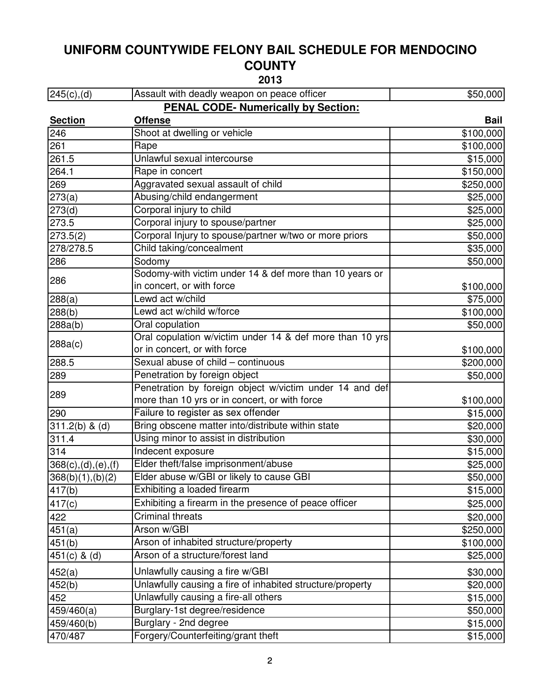**2013**

| $245(c)$ , (d)                             | Assault with deadly weapon on peace officer               | \$50,000    |
|--------------------------------------------|-----------------------------------------------------------|-------------|
| <b>PENAL CODE- Numerically by Section:</b> |                                                           |             |
| <b>Section</b>                             | <b>Offense</b>                                            | <b>Bail</b> |
| 246                                        | Shoot at dwelling or vehicle                              | \$100,000   |
| 261                                        | Rape                                                      | \$100,000   |
| 261.5                                      | Unlawful sexual intercourse                               | \$15,000    |
| 264.1                                      | Rape in concert                                           | \$150,000   |
| 269                                        | Aggravated sexual assault of child                        | \$250,000   |
| 273(a)                                     | Abusing/child endangerment                                | \$25,000    |
| 273(d)                                     | Corporal injury to child                                  | \$25,000    |
| 273.5                                      | Corporal injury to spouse/partner                         | \$25,000    |
| 273.5(2)                                   | Corporal Injury to spouse/partner w/two or more priors    | \$50,000    |
| 278/278.5                                  | Child taking/concealment                                  | \$35,000    |
| 286                                        | Sodomy                                                    | \$50,000    |
|                                            | Sodomy-with victim under 14 & def more than 10 years or   |             |
| 286                                        | in concert, or with force                                 | \$100,000   |
| 288(a)                                     | Lewd act w/child                                          | \$75,000    |
| 288(b)                                     | Lewd act w/child w/force                                  | \$100,000   |
| 288a(b)                                    | Oral copulation                                           | \$50,000    |
|                                            | Oral copulation w/victim under 14 & def more than 10 yrs  |             |
| 288a(c)                                    | or in concert, or with force                              | \$100,000   |
| 288.5                                      | Sexual abuse of child - continuous                        | \$200,000   |
| 289                                        | Penetration by foreign object                             | \$50,000    |
| 289                                        | Penetration by foreign object w/victim under 14 and def   |             |
|                                            | more than 10 yrs or in concert, or with force             | \$100,000   |
| 290                                        | Failure to register as sex offender                       | \$15,000    |
| $311.2(b)$ & (d)                           | Bring obscene matter into/distribute within state         | \$20,000    |
| 311.4                                      | Using minor to assist in distribution                     | \$30,000    |
| 314                                        | Indecent exposure                                         | \$15,000    |
| $368(c)$ , (d), (e), (f)                   | Elder theft/false imprisonment/abuse                      | \$25,000    |
| 368(b)(1), (b)(2)                          | Elder abuse w/GBI or likely to cause GBI                  | \$50,000    |
| 417(b)                                     | Exhibiting a loaded firearm                               | \$15,000    |
| 417(c)                                     | Exhibiting a firearm in the presence of peace officer     | \$25,000    |
| 422                                        | <b>Criminal threats</b>                                   | \$20,000    |
| 451(a)                                     | Arson w/GBI                                               | \$250,000   |
| 451(b)                                     | Arson of inhabited structure/property                     | \$100,000   |
| $451(c)$ & (d)                             | Arson of a structure/forest land                          | \$25,000    |
| 452(a)                                     | Unlawfully causing a fire w/GBI                           | \$30,000    |
| 452(b)                                     | Unlawfully causing a fire of inhabited structure/property | \$20,000    |
| 452                                        | Unlawfully causing a fire-all others                      | \$15,000    |
| 459/460(a)                                 | Burglary-1st degree/residence                             | \$50,000    |
| 459/460(b)                                 | Burglary - 2nd degree                                     | \$15,000    |
| 470/487                                    | Forgery/Counterfeiting/grant theft                        | \$15,000    |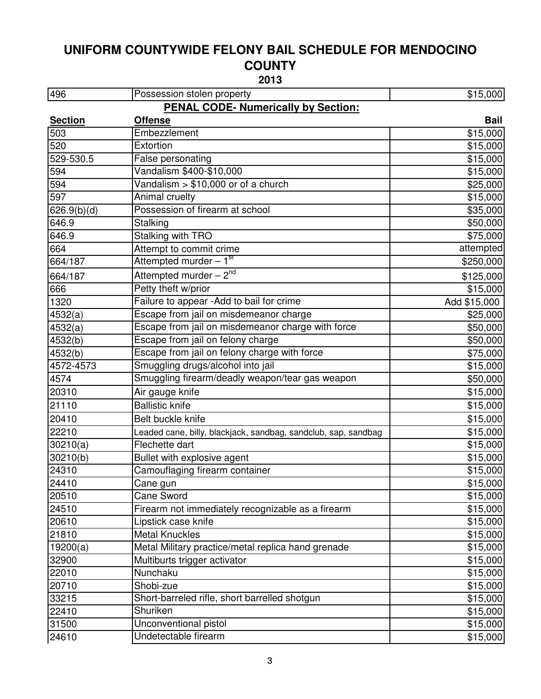| 496            | Possession stolen property                                     | \$15,000     |
|----------------|----------------------------------------------------------------|--------------|
|                | <b>PENAL CODE- Numerically by Section:</b>                     |              |
| <b>Section</b> | <b>Offense</b>                                                 | <b>Bail</b>  |
| 503            | Embezzlement                                                   | \$15,000     |
| 520            | Extortion                                                      | \$15,000     |
| 529-530.5      | False personating                                              | \$15,000     |
| 594            | Vandalism \$400-\$10,000                                       | \$15,000     |
| 594            | Vandalism $> $10,000$ or of a church                           | \$25,000     |
| 597            | Animal cruelty                                                 | \$15,000     |
| 626.9(b)(d)    | Possession of firearm at school                                | \$35,000     |
| 646.9          | Stalking                                                       | \$50,000     |
| 646.9          | Stalking with TRO                                              | \$75,000     |
| 664            | Attempt to commit crime                                        | attempted    |
| 664/187        | Attempted murder - 1 <sup>st</sup>                             | \$250,000    |
| 664/187        | Attempted murder - 2 <sup>nd</sup>                             | \$125,000    |
| 666            | Petty theft w/prior                                            | \$15,000     |
| 1320           | Failure to appear -Add to bail for crime                       | Add \$15,000 |
| 4532(a)        | Escape from jail on misdemeanor charge                         | \$25,000     |
| 4532(a)        | Escape from jail on misdemeanor charge with force              | \$50,000     |
| 4532(b)        | Escape from jail on felony charge                              | \$50,000     |
| 4532(b)        | Escape from jail on felony charge with force                   | \$75,000     |
| 4572-4573      | Smuggling drugs/alcohol into jail                              | \$15,000     |
| 4574           | Smuggling firearm/deadly weapon/tear gas weapon                | \$50,000     |
| 20310          | Air gauge knife                                                | \$15,000     |
| 21110          | <b>Ballistic knife</b>                                         | \$15,000     |
| 20410          | Belt buckle knife                                              | \$15,000     |
| 22210          | Leaded cane, billy, blackjack, sandbag, sandclub, sap, sandbag | \$15,000     |
| 30210(a)       | Flechette dart                                                 | \$15,000     |
| 30210(b)       | Bullet with explosive agent                                    | \$15,000     |
| 24310          | Camouflaging firearm container                                 | \$15,000     |
| 24410          | Cane gun                                                       | \$15,000     |
| 20510          | <b>Cane Sword</b>                                              | \$15,000     |
| 24510          | Firearm not immediately recognizable as a firearm              | \$15,000     |
| 20610          | Lipstick case knife                                            | \$15,000     |
| 21810          | <b>Metal Knuckles</b>                                          | \$15,000     |
| 19200(a)       | Metal Military practice/metal replica hand grenade             | \$15,000     |
| 32900          | Multiburts trigger activator                                   | \$15,000     |
| 22010          | Nunchaku                                                       | \$15,000     |
| 20710          | Shobi-zue                                                      | \$15,000     |
| 33215          | Short-barreled rifle, short barrelled shotgun                  | \$15,000     |
| 22410          | Shuriken                                                       | \$15,000     |
| 31500          | Unconventional pistol                                          | \$15,000     |
| 24610          | Undetectable firearm                                           | \$15,000     |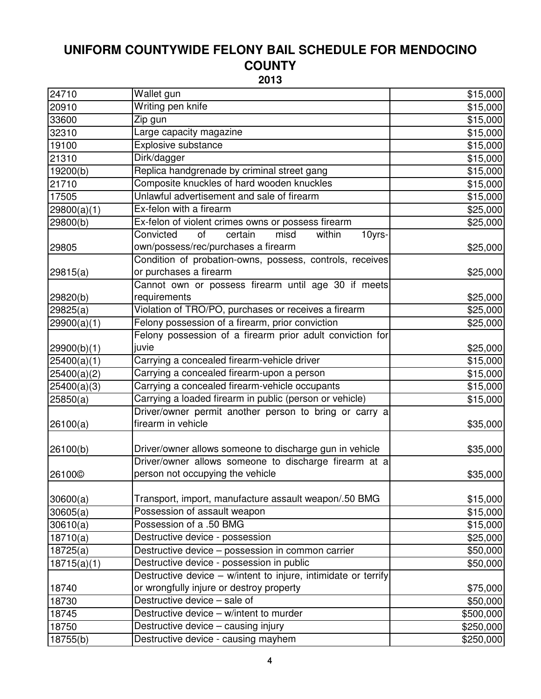| 24710              | Wallet gun                                                     | \$15,000  |
|--------------------|----------------------------------------------------------------|-----------|
| 20910              | Writing pen knife                                              | \$15,000  |
| 33600              | Zip gun                                                        | \$15,000  |
| 32310              | Large capacity magazine                                        | \$15,000  |
| 19100              | Explosive substance                                            | \$15,000  |
| 21310              | Dirk/dagger                                                    | \$15,000  |
| 19200(b)           | Replica handgrenade by criminal street gang                    | \$15,000  |
| 21710              | Composite knuckles of hard wooden knuckles                     | \$15,000  |
| 17505              | Unlawful advertisement and sale of firearm                     | \$15,000  |
| 29800(a)(1)        | Ex-felon with a firearm                                        | \$25,000  |
| 29800(b)           | Ex-felon of violent crimes owns or possess firearm             | \$25,000  |
|                    | of<br>certain<br>misd<br>Convicted<br>within<br>10yrs-         |           |
| 29805              | own/possess/rec/purchases a firearm                            | \$25,000  |
|                    | Condition of probation-owns, possess, controls, receives       |           |
| 29815(a)           | or purchases a firearm                                         | \$25,000  |
|                    | Cannot own or possess firearm until age 30 if meets            |           |
| 29820(b)           | requirements                                                   | \$25,000  |
| 29825(a)           | Violation of TRO/PO, purchases or receives a firearm           | \$25,000  |
| 29900(a)(1)        | Felony possession of a firearm, prior conviction               | \$25,000  |
|                    | Felony possession of a firearm prior adult conviction for      |           |
| 29900(b)(1)        | juvie                                                          | \$25,000  |
| 25400(a)(1)        | Carrying a concealed firearm-vehicle driver                    | \$15,000  |
| 25400(a)(2)        | Carrying a concealed firearm-upon a person                     | \$15,000  |
| 25400(a)(3)        | Carrying a concealed firearm-vehicle occupants                 | \$15,000  |
| 25850(a)           | Carrying a loaded firearm in public (person or vehicle)        | \$15,000  |
|                    | Driver/owner permit another person to bring or carry a         |           |
| 26100(a)           | firearm in vehicle                                             | \$35,000  |
|                    |                                                                |           |
| 26100(b)           | Driver/owner allows someone to discharge gun in vehicle        | \$35,000  |
|                    | Driver/owner allows someone to discharge firearm at a          |           |
| 26100 <sup>©</sup> | person not occupying the vehicle                               | \$35,000  |
|                    |                                                                |           |
| 30600(a)           | Transport, import, manufacture assault weapon/.50 BMG          | \$15,000  |
| 30605(a)           | Possession of assault weapon                                   | \$15,000  |
| 30610(a)           | Possession of a .50 BMG                                        | \$15,000  |
| 18710(a)           | Destructive device - possession                                | \$25,000  |
| 18725(a)           | Destructive device - possession in common carrier              | \$50,000  |
| 18715(a)(1)        | Destructive device - possession in public                      | \$50,000  |
|                    | Destructive device - w/intent to injure, intimidate or terrify |           |
| 18740              | or wrongfully injure or destroy property                       | \$75,000  |
| 18730              | Destructive device - sale of                                   | \$50,000  |
| 18745              | Destructive device - w/intent to murder                        | \$500,000 |
| 18750              | Destructive device - causing injury                            | \$250,000 |
| 18755(b)           | Destructive device - causing mayhem                            | \$250,000 |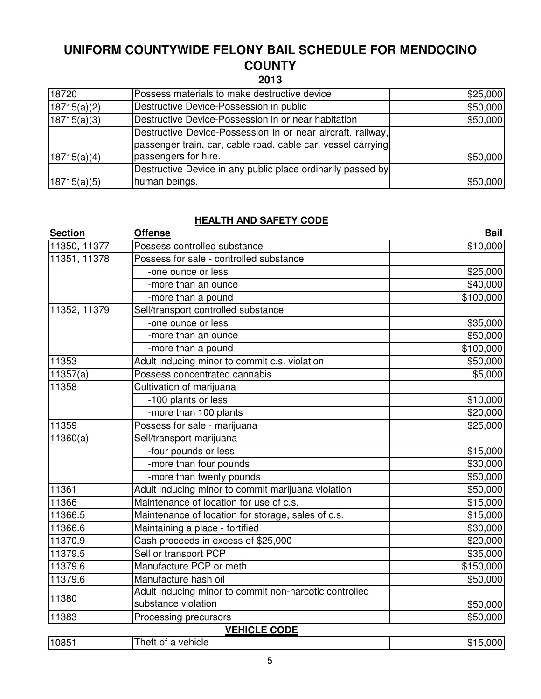**2013**

| 18720       | Possess materials to make destructive device                 | \$25,000 |
|-------------|--------------------------------------------------------------|----------|
| 18715(a)(2) | Destructive Device-Possession in public                      | \$50,000 |
| 18715(a)(3) | Destructive Device-Possession in or near habitation          | \$50,000 |
|             | Destructive Device-Possession in or near aircraft, railway,  |          |
|             | passenger train, car, cable road, cable car, vessel carrying |          |
| 18715(a)(4) | passengers for hire.                                         | \$50,000 |
|             | Destructive Device in any public place ordinarily passed by  |          |
| 18715(a)(5) | human beings.                                                | \$50,000 |

#### **HEALTH AND SAFETY CODE**

| <b>Section</b> | <b>Offense</b>                                         | <b>Bail</b> |
|----------------|--------------------------------------------------------|-------------|
| 11350, 11377   | Possess controlled substance                           | \$10,000    |
| 11351, 11378   | Possess for sale - controlled substance                |             |
|                | -one ounce or less                                     | \$25,000    |
|                | -more than an ounce                                    | \$40,000    |
|                | -more than a pound                                     | \$100,000   |
| 11352, 11379   | Sell/transport controlled substance                    |             |
|                | -one ounce or less                                     | \$35,000    |
|                | -more than an ounce                                    | \$50,000    |
|                | -more than a pound                                     | \$100,000   |
| 11353          | Adult inducing minor to commit c.s. violation          | \$50,000    |
| 11357(a)       | Possess concentrated cannabis                          | \$5,000     |
| 11358          | Cultivation of marijuana                               |             |
|                | -100 plants or less                                    | \$10,000    |
|                | -more than 100 plants                                  | \$20,000    |
| 11359          | Possess for sale - marijuana                           | \$25,000    |
| 11360(a)       | Sell/transport marijuana                               |             |
|                | -four pounds or less                                   | \$15,000    |
|                | -more than four pounds                                 | \$30,000    |
|                | -more than twenty pounds                               | \$50,000    |
| 11361          | Adult inducing minor to commit marijuana violation     | \$50,000    |
| 11366          | Maintenance of location for use of c.s.                | \$15,000    |
| 11366.5        | Maintenance of location for storage, sales of c.s.     | \$15,000    |
| 11366.6        | Maintaining a place - fortified                        | \$30,000    |
| 11370.9        | Cash proceeds in excess of \$25,000                    | \$20,000    |
| 11379.5        | Sell or transport PCP                                  | \$35,000    |
| 11379.6        | Manufacture PCP or meth                                | \$150,000   |
| 11379.6        | Manufacture hash oil                                   | \$50,000    |
| 11380          | Adult inducing minor to commit non-narcotic controlled |             |
|                | substance violation                                    | \$50,000    |
| 11383          | Processing precursors                                  | \$50,000    |
|                | <b>VEHICLE CODE</b>                                    |             |
| 10851          | Theft of a vehicle                                     | \$15,000    |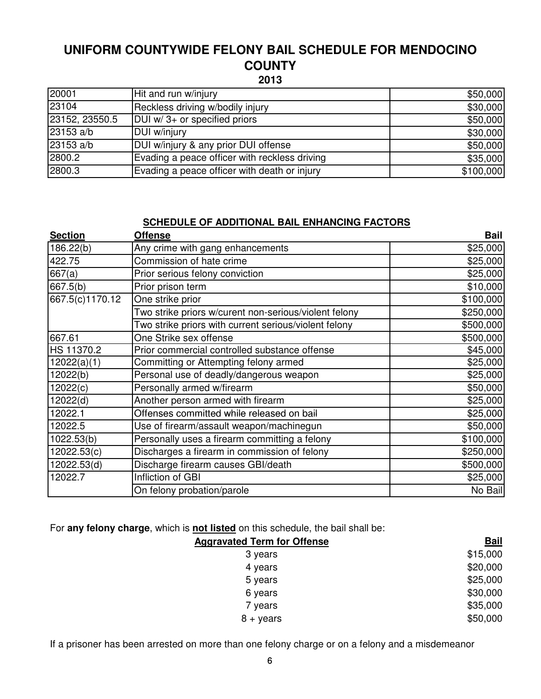| 20001          | Hit and run w/injury                          | \$50,000  |
|----------------|-----------------------------------------------|-----------|
| 23104          | Reckless driving w/bodily injury              | \$30,000  |
| 23152, 23550.5 | DUI w/ 3+ or specified priors                 | \$50,000  |
| 23153 a/b      | DUI w/injury                                  | \$30,000  |
| 23153 a/b      | DUI w/injury & any prior DUI offense          | \$50,000  |
| 2800.2         | Evading a peace officer with reckless driving | \$35,000  |
| 2800.3         | Evading a peace officer with death or injury  | \$100,000 |

#### **SCHEDULE OF ADDITIONAL BAIL ENHANCING FACTORS**

| <b>Section</b>  | <b>Offense</b>                                        | <b>Bail</b> |
|-----------------|-------------------------------------------------------|-------------|
| 186.22(b)       | Any crime with gang enhancements                      | \$25,000    |
| 422.75          | Commission of hate crime                              | \$25,000    |
| 667(a)          | Prior serious felony conviction                       | \$25,000    |
| 667.5(b)        | Prior prison term                                     | \$10,000    |
| 667.5(c)1170.12 | One strike prior                                      | \$100,000   |
|                 | Two strike priors w/curent non-serious/violent felony | \$250,000   |
|                 | Two strike priors with current serious/violent felony | \$500,000   |
| 667.61          | One Strike sex offense                                | \$500,000   |
| HS 11370.2      | Prior commercial controlled substance offense         | \$45,000    |
| 12022(a)(1)     | Committing or Attempting felony armed                 | \$25,000    |
| 12022(b)        | Personal use of deadly/dangerous weapon               | \$25,000    |
| 12022(c)        | Personally armed w/firearm                            | \$50,000    |
| 12022(d)        | Another person armed with firearm                     | \$25,000    |
| 12022.1         | Offenses committed while released on bail             | \$25,000    |
| 12022.5         | Use of firearm/assault weapon/machinegun              | \$50,000    |
| 1022.53(b)      | Personally uses a firearm committing a felony         | \$100,000   |
| 12022.53(c)     | Discharges a firearm in commission of felony          | \$250,000   |
| 12022.53(d)     | Discharge firearm causes GBI/death                    | \$500,000   |
| 12022.7         | Infliction of GBI                                     | \$25,000    |
|                 | On felony probation/parole                            | No Bail     |

For **any felony charge**, which is **not listed** on this schedule, the bail shall be:

| <u>Bail</u> |
|-------------|
| \$15,000    |
| \$20,000    |
| \$25,000    |
| \$30,000    |
| \$35,000    |
| \$50,000    |
|             |

If a prisoner has been arrested on more than one felony charge or on a felony and a misdemeanor